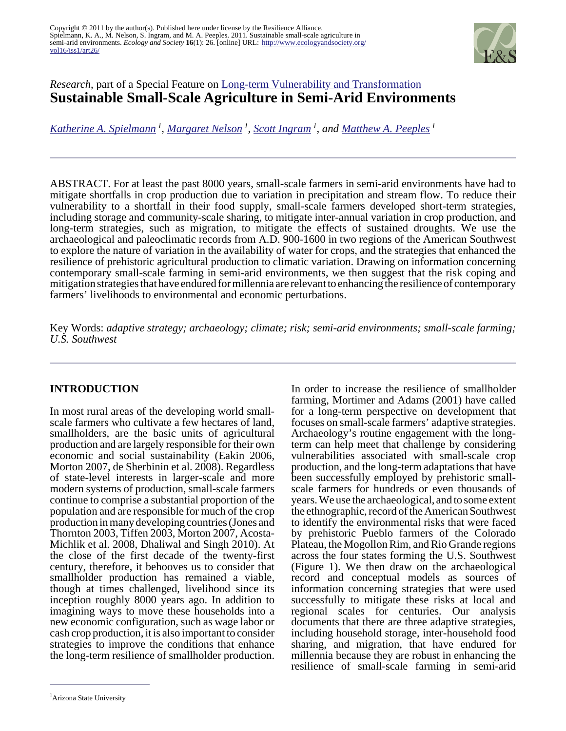

# *Research*, part of a Special Feature on [Long-term Vulnerability and Transformation](http://www.ecologyandsociety.org/viewissue.php?sf=46) **Sustainable Small-Scale Agriculture in Semi-Arid Environments**

*[Katherine A. Spielmann](mailto:kate.spielmann@asu.edu)<sup>1</sup> , [Margaret Nelson](mailto:mnelson@asu.edu)<sup>1</sup> , [Scott Ingram](mailto:singram@asu.edu)<sup>1</sup>, and [Matthew A. Peeples](mailto:Matthew.Peeples@asu.edu)<sup>1</sup>*

ABSTRACT. For at least the past 8000 years, small-scale farmers in semi-arid environments have had to mitigate shortfalls in crop production due to variation in precipitation and stream flow. To reduce their vulnerability to a shortfall in their food supply, small-scale farmers developed short-term strategies, including storage and community-scale sharing, to mitigate inter-annual variation in crop production, and long-term strategies, such as migration, to mitigate the effects of sustained droughts. We use the archaeological and paleoclimatic records from A.D. 900-1600 in two regions of the American Southwest to explore the nature of variation in the availability of water for crops, and the strategies that enhanced the resilience of prehistoric agricultural production to climatic variation. Drawing on information concerning contemporary small-scale farming in semi-arid environments, we then suggest that the risk coping and mitigation strategies that have endured for millennia are relevant to enhancing the resilience of contemporary farmers' livelihoods to environmental and economic perturbations.

Key Words: *adaptive strategy; archaeology; climate; risk; semi-arid environments; small-scale farming; U.S. Southwest*

## **INTRODUCTION**

In most rural areas of the developing world smallscale farmers who cultivate a few hectares of land, smallholders, are the basic units of agricultural production and are largely responsible for their own economic and social sustainability (Eakin 2006, Morton 2007, de Sherbinin et al. 2008). Regardless of state-level interests in larger-scale and more modern systems of production, small-scale farmers continue to comprise a substantial proportion of the population and are responsible for much of the crop production in many developing countries (Jones and Thornton 2003, Tiffen 2003, Morton 2007, Acosta-Michlik et al. 2008, Dhaliwal and Singh 2010). At the close of the first decade of the twenty-first century, therefore, it behooves us to consider that smallholder production has remained a viable, though at times challenged, livelihood since its inception roughly 8000 years ago. In addition to imagining ways to move these households into a new economic configuration, such as wage labor or cash crop production, it is also important to consider strategies to improve the conditions that enhance the long-term resilience of smallholder production.

In order to increase the resilience of smallholder farming, Mortimer and Adams (2001) have called for a long-term perspective on development that focuses on small-scale farmers' adaptive strategies. Archaeology's routine engagement with the longterm can help meet that challenge by considering vulnerabilities associated with small-scale crop production, and the long-term adaptations that have been successfully employed by prehistoric smallscale farmers for hundreds or even thousands of years. We use the archaeological, and to some extent the ethnographic, record of the American Southwest to identify the environmental risks that were faced by prehistoric Pueblo farmers of the Colorado Plateau, the Mogollon Rim, and Rio Grande regions across the four states forming the U.S. Southwest (Figure 1). We then draw on the archaeological record and conceptual models as sources of information concerning strategies that were used successfully to mitigate these risks at local and regional scales for centuries. Our analysis documents that there are three adaptive strategies, including household storage, inter-household food sharing, and migration, that have endured for millennia because they are robust in enhancing the resilience of small-scale farming in semi-arid

<sup>&</sup>lt;sup>1</sup>Arizona State University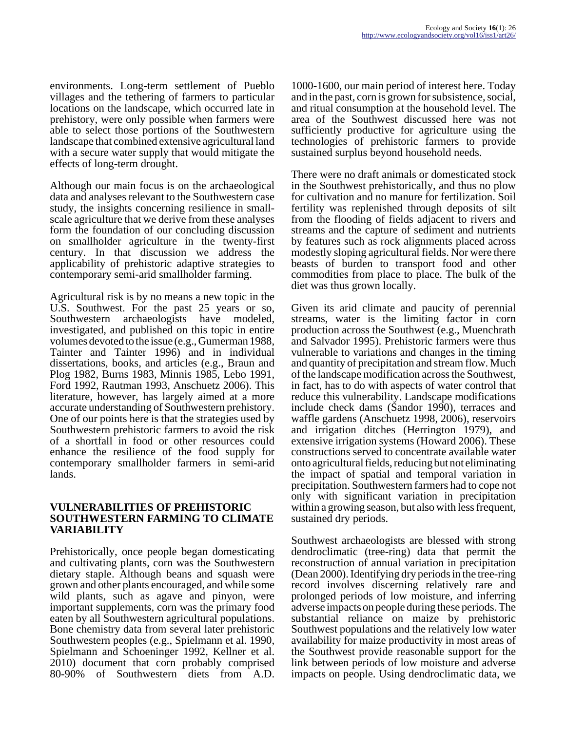environments. Long-term settlement of Pueblo villages and the tethering of farmers to particular locations on the landscape, which occurred late in prehistory, were only possible when farmers were able to select those portions of the Southwestern landscape that combined extensive agricultural land with a secure water supply that would mitigate the effects of long-term drought.

Although our main focus is on the archaeological data and analyses relevant to the Southwestern case study, the insights concerning resilience in smallscale agriculture that we derive from these analyses form the foundation of our concluding discussion on smallholder agriculture in the twenty-first century. In that discussion we address the applicability of prehistoric adaptive strategies to contemporary semi-arid smallholder farming.

Agricultural risk is by no means a new topic in the U.S. Southwest. For the past 25 years or so, Southwestern archaeologists have modeled, investigated, and published on this topic in entire volumes devoted to the issue (e.g., Gumerman 1988, Tainter and Tainter 1996) and in individual dissertations, books, and articles (e.g., Braun and Plog 1982, Burns 1983, Minnis 1985, Lebo 1991, Ford 1992, Rautman 1993, Anschuetz 2006). This literature, however, has largely aimed at a more accurate understanding of Southwestern prehistory. One of our points here is that the strategies used by Southwestern prehistoric farmers to avoid the risk of a shortfall in food or other resources could enhance the resilience of the food supply for contemporary smallholder farmers in semi-arid lands.

#### **VULNERABILITIES OF PREHISTORIC SOUTHWESTERN FARMING TO CLIMATE VARIABILITY**

Prehistorically, once people began domesticating and cultivating plants, corn was the Southwestern dietary staple. Although beans and squash were grown and other plants encouraged, and while some wild plants, such as agave and pinyon, were important supplements, corn was the primary food eaten by all Southwestern agricultural populations. Bone chemistry data from several later prehistoric Southwestern peoples (e.g., Spielmann et al. 1990, Spielmann and Schoeninger 1992, Kellner et al. 2010) document that corn probably comprised 80-90% of Southwestern diets from A.D.

1000-1600, our main period of interest here. Today and in the past, corn is grown for subsistence, social, and ritual consumption at the household level. The area of the Southwest discussed here was not sufficiently productive for agriculture using the technologies of prehistoric farmers to provide sustained surplus beyond household needs.

There were no draft animals or domesticated stock in the Southwest prehistorically, and thus no plow for cultivation and no manure for fertilization. Soil fertility was replenished through deposits of silt from the flooding of fields adjacent to rivers and streams and the capture of sediment and nutrients by features such as rock alignments placed across modestly sloping agricultural fields. Nor were there beasts of burden to transport food and other commodities from place to place. The bulk of the diet was thus grown locally.

Given its arid climate and paucity of perennial streams, water is the limiting factor in corn production across the Southwest (e.g., Muenchrath and Salvador 1995). Prehistoric farmers were thus vulnerable to variations and changes in the timing and quantity of precipitation and stream flow. Much of the landscape modification across the Southwest, in fact, has to do with aspects of water control that reduce this vulnerability. Landscape modifications include check dams (Sandor 1990), terraces and waffle gardens (Anschuetz 1998, 2006), reservoirs and irrigation ditches (Herrington 1979), and extensive irrigation systems (Howard 2006). These constructions served to concentrate available water onto agricultural fields, reducing but not eliminating the impact of spatial and temporal variation in precipitation. Southwestern farmers had to cope not only with significant variation in precipitation within a growing season, but also with less frequent, sustained dry periods.

Southwest archaeologists are blessed with strong dendroclimatic (tree-ring) data that permit the reconstruction of annual variation in precipitation (Dean 2000). Identifying dry periods in the tree-ring record involves discerning relatively rare and prolonged periods of low moisture, and inferring adverse impacts on people during these periods. The substantial reliance on maize by prehistoric Southwest populations and the relatively low water availability for maize productivity in most areas of the Southwest provide reasonable support for the link between periods of low moisture and adverse impacts on people. Using dendroclimatic data, we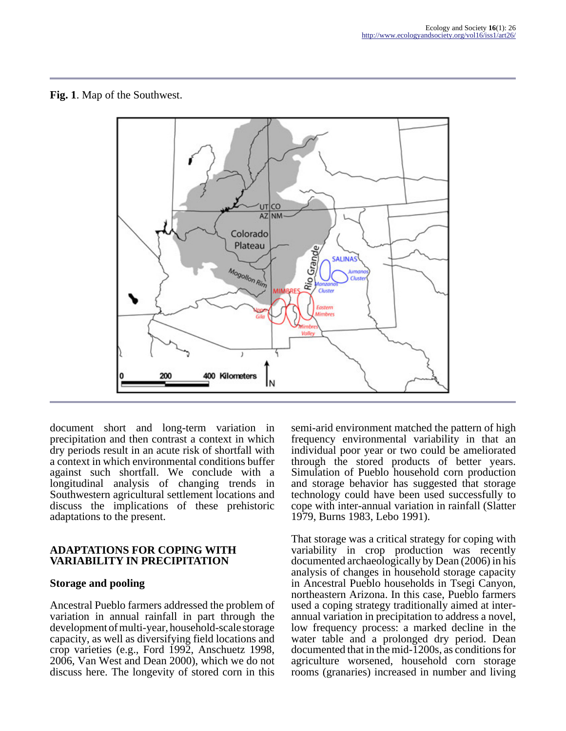### **Fig. 1**. Map of the Southwest.



document short and long-term variation in precipitation and then contrast a context in which dry periods result in an acute risk of shortfall with a context in which environmental conditions buffer against such shortfall. We conclude with a longitudinal analysis of changing trends in Southwestern agricultural settlement locations and discuss the implications of these prehistoric adaptations to the present.

#### **ADAPTATIONS FOR COPING WITH VARIABILITY IN PRECIPITATION**

#### **Storage and pooling**

Ancestral Pueblo farmers addressed the problem of variation in annual rainfall in part through the development of multi-year, household-scale storage capacity, as well as diversifying field locations and crop varieties (e.g., Ford 1992, Anschuetz 1998, 2006, Van West and Dean 2000), which we do not discuss here. The longevity of stored corn in this

semi-arid environment matched the pattern of high frequency environmental variability in that an individual poor year or two could be ameliorated through the stored products of better years. Simulation of Pueblo household corn production and storage behavior has suggested that storage technology could have been used successfully to cope with inter-annual variation in rainfall (Slatter 1979, Burns 1983, Lebo 1991).

That storage was a critical strategy for coping with variability in crop production was recently documented archaeologically by Dean (2006) in his analysis of changes in household storage capacity in Ancestral Pueblo households in Tsegi Canyon, northeastern Arizona. In this case, Pueblo farmers used a coping strategy traditionally aimed at interannual variation in precipitation to address a novel, low frequency process: a marked decline in the water table and a prolonged dry period. Dean documented that in the mid-1200s, as conditions for agriculture worsened, household corn storage rooms (granaries) increased in number and living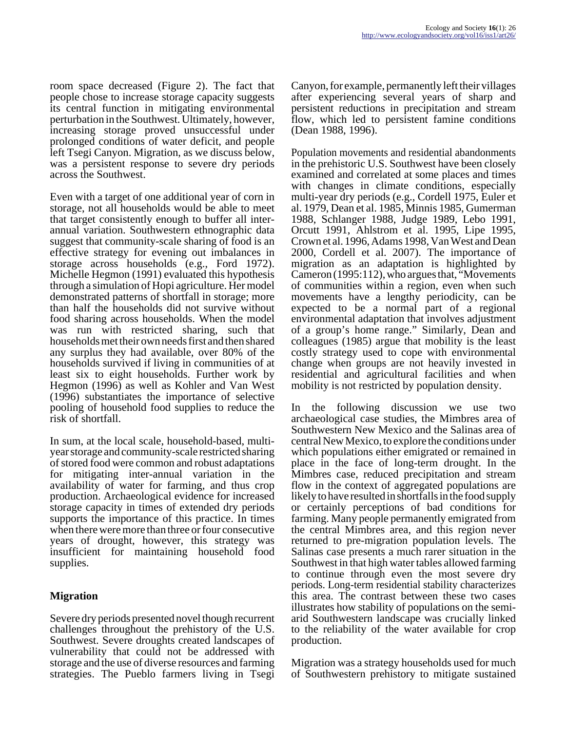room space decreased (Figure 2). The fact that people chose to increase storage capacity suggests its central function in mitigating environmental perturbation in the Southwest. Ultimately, however, increasing storage proved unsuccessful under prolonged conditions of water deficit, and people left Tsegi Canyon. Migration, as we discuss below, was a persistent response to severe dry periods across the Southwest.

Even with a target of one additional year of corn in storage, not all households would be able to meet that target consistently enough to buffer all interannual variation. Southwestern ethnographic data suggest that community-scale sharing of food is an effective strategy for evening out imbalances in storage across households (e.g., Ford 1972). Michelle Hegmon (1991) evaluated this hypothesis through a simulation of Hopi agriculture. Her model demonstrated patterns of shortfall in storage; more than half the households did not survive without food sharing across households. When the model was run with restricted sharing, such that households met their own needs first and then shared any surplus they had available, over 80% of the households survived if living in communities of at least six to eight households. Further work by Hegmon (1996) as well as Kohler and Van West (1996) substantiates the importance of selective pooling of household food supplies to reduce the risk of shortfall.

In sum, at the local scale, household-based, multiyear storage and community-scale restricted sharing of stored food were common and robust adaptations for mitigating inter-annual variation in the availability of water for farming, and thus crop production. Archaeological evidence for increased storage capacity in times of extended dry periods supports the importance of this practice. In times when there were more than three or four consecutive years of drought, however, this strategy was insufficient for maintaining household food supplies.

## **Migration**

Severe dry periods presented novel though recurrent challenges throughout the prehistory of the U.S. Southwest. Severe droughts created landscapes of vulnerability that could not be addressed with storage and the use of diverse resources and farming strategies. The Pueblo farmers living in Tsegi

Canyon, for example, permanently left their villages after experiencing several years of sharp and persistent reductions in precipitation and stream flow, which led to persistent famine conditions (Dean 1988, 1996).

Population movements and residential abandonments in the prehistoric U.S. Southwest have been closely examined and correlated at some places and times with changes in climate conditions, especially multi-year dry periods (e.g., Cordell 1975, Euler et al. 1979, Dean et al. 1985, Minnis 1985, Gumerman 1988, Schlanger 1988, Judge 1989, Lebo 1991, Orcutt 1991, Ahlstrom et al. 1995, Lipe 1995, Crown et al. 1996, Adams 1998, Van West and Dean 2000, Cordell et al. 2007). The importance of migration as an adaptation is highlighted by Cameron (1995:112), who argues that, "Movements of communities within a region, even when such movements have a lengthy periodicity, can be expected to be a normal part of a regional environmental adaptation that involves adjustment of a group's home range." Similarly, Dean and colleagues (1985) argue that mobility is the least costly strategy used to cope with environmental change when groups are not heavily invested in residential and agricultural facilities and when mobility is not restricted by population density.

In the following discussion we use two archaeological case studies, the Mimbres area of Southwestern New Mexico and the Salinas area of central New Mexico, to explore the conditions under which populations either emigrated or remained in place in the face of long-term drought. In the Mimbres case, reduced precipitation and stream flow in the context of aggregated populations are likely to have resulted in shortfalls in the food supply or certainly perceptions of bad conditions for farming. Many people permanently emigrated from the central Mimbres area, and this region never returned to pre-migration population levels. The Salinas case presents a much rarer situation in the Southwest in that high water tables allowed farming to continue through even the most severe dry periods. Long-term residential stability characterizes this area. The contrast between these two cases illustrates how stability of populations on the semiarid Southwestern landscape was crucially linked to the reliability of the water available for crop production.

Migration was a strategy households used for much of Southwestern prehistory to mitigate sustained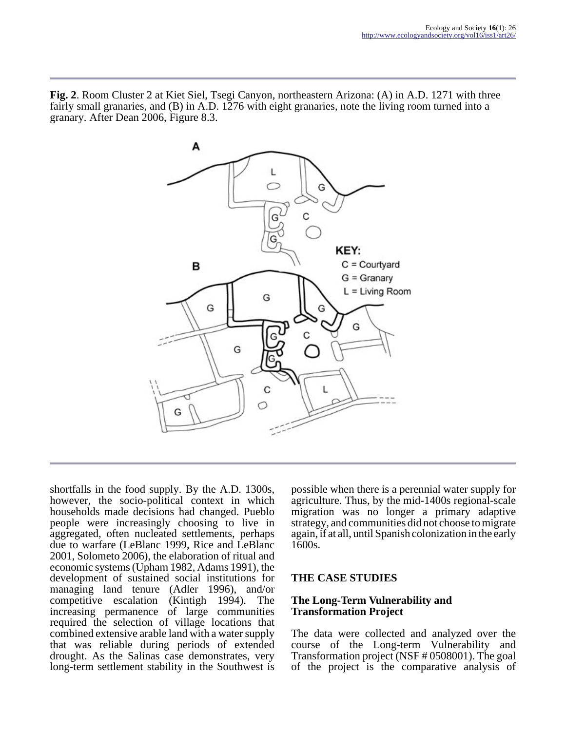**Fig. 2**. Room Cluster 2 at Kiet Siel, Tsegi Canyon, northeastern Arizona: (A) in A.D. 1271 with three fairly small granaries, and (B) in A.D. 1276 with eight granaries, note the living room turned into a granary. After Dean 2006, Figure 8.3.



shortfalls in the food supply. By the A.D. 1300s, however, the socio-political context in which households made decisions had changed. Pueblo people were increasingly choosing to live in aggregated, often nucleated settlements, perhaps due to warfare (LeBlanc 1999, Rice and LeBlanc 2001, Solometo 2006), the elaboration of ritual and economic systems (Upham 1982, Adams 1991), the development of sustained social institutions for managing land tenure (Adler 1996), and/or competitive escalation (Kintigh 1994). The increasing permanence of large communities required the selection of village locations that combined extensive arable land with a water supply that was reliable during periods of extended drought. As the Salinas case demonstrates, very long-term settlement stability in the Southwest is

possible when there is a perennial water supply for agriculture. Thus, by the mid-1400s regional-scale migration was no longer a primary adaptive strategy, and communities did not choose to migrate again, if at all, until Spanish colonization in the early 1600s.

## **THE CASE STUDIES**

#### **The Long-Term Vulnerability and Transformation Project**

The data were collected and analyzed over the course of the Long-term Vulnerability and Transformation project (NSF # 0508001). The goal of the project is the comparative analysis of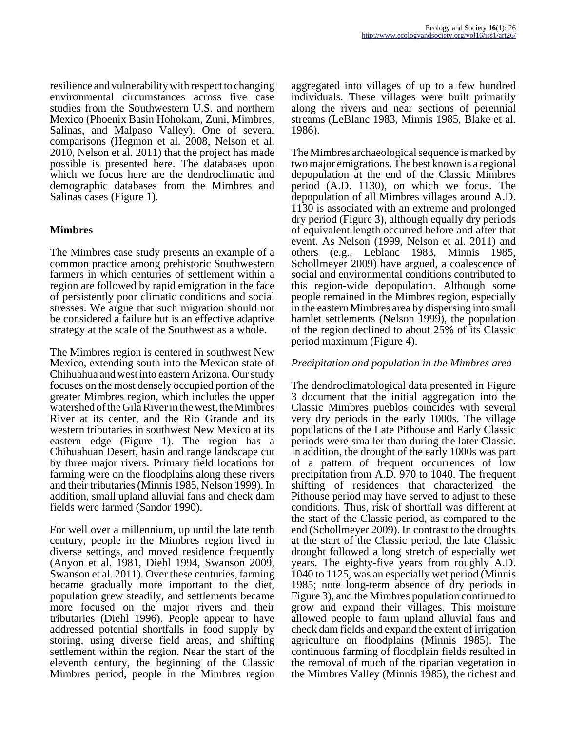resilience and vulnerability with respect to changing environmental circumstances across five case studies from the Southwestern U.S. and northern Mexico (Phoenix Basin Hohokam, Zuni, Mimbres, Salinas, and Malpaso Valley). One of several comparisons (Hegmon et al. 2008, Nelson et al. 2010, Nelson et al. 2011) that the project has made possible is presented here. The databases upon which we focus here are the dendroclimatic and demographic databases from the Mimbres and Salinas cases (Figure 1).

## **Mimbres**

The Mimbres case study presents an example of a common practice among prehistoric Southwestern farmers in which centuries of settlement within a region are followed by rapid emigration in the face of persistently poor climatic conditions and social stresses. We argue that such migration should not be considered a failure but is an effective adaptive strategy at the scale of the Southwest as a whole.

The Mimbres region is centered in southwest New Mexico, extending south into the Mexican state of Chihuahua and west into eastern Arizona. Our study focuses on the most densely occupied portion of the greater Mimbres region, which includes the upper watershed of the Gila River in the west, the Mimbres River at its center, and the Rio Grande and its western tributaries in southwest New Mexico at its eastern edge (Figure 1). The region has a Chihuahuan Desert, basin and range landscape cut by three major rivers. Primary field locations for farming were on the floodplains along these rivers and their tributaries (Minnis 1985, Nelson 1999). In addition, small upland alluvial fans and check dam fields were farmed (Sandor 1990).

For well over a millennium, up until the late tenth century, people in the Mimbres region lived in diverse settings, and moved residence frequently (Anyon et al. 1981, Diehl 1994, Swanson 2009, Swanson et al. 2011). Over these centuries, farming became gradually more important to the diet, population grew steadily, and settlements became more focused on the major rivers and their tributaries (Diehl 1996). People appear to have addressed potential shortfalls in food supply by storing, using diverse field areas, and shifting settlement within the region. Near the start of the eleventh century, the beginning of the Classic Mimbres period, people in the Mimbres region

aggregated into villages of up to a few hundred individuals. These villages were built primarily along the rivers and near sections of perennial streams (LeBlanc 1983, Minnis 1985, Blake et al. 1986).

The Mimbres archaeological sequence is marked by two major emigrations. The best known is a regional depopulation at the end of the Classic Mimbres period (A.D. 1130), on which we focus. The depopulation of all Mimbres villages around A.D. 1130 is associated with an extreme and prolonged dry period (Figure 3), although equally dry periods of equivalent length occurred before and after that event. As Nelson (1999, Nelson et al. 2011) and others (e.g., Leblanc 1983, Minnis 1985, Schollmeyer 2009) have argued, a coalescence of social and environmental conditions contributed to this region-wide depopulation. Although some people remained in the Mimbres region, especially in the eastern Mimbres area by dispersing into small hamlet settlements (Nelson 1999), the population of the region declined to about 25% of its Classic period maximum (Figure 4).

### *Precipitation and population in the Mimbres area*

The dendroclimatological data presented in Figure 3 document that the initial aggregation into the Classic Mimbres pueblos coincides with several very dry periods in the early 1000s. The village populations of the Late Pithouse and Early Classic periods were smaller than during the later Classic. In addition, the drought of the early 1000s was part of a pattern of frequent occurrences of low precipitation from A.D. 970 to 1040. The frequent shifting of residences that characterized the Pithouse period may have served to adjust to these conditions. Thus, risk of shortfall was different at the start of the Classic period, as compared to the end (Schollmeyer 2009). In contrast to the droughts at the start of the Classic period, the late Classic drought followed a long stretch of especially wet years. The eighty-five years from roughly A.D. 1040 to 1125, was an especially wet period (Minnis 1985; note long-term absence of dry periods in Figure 3), and the Mimbres population continued to grow and expand their villages. This moisture allowed people to farm upland alluvial fans and check dam fields and expand the extent of irrigation agriculture on floodplains (Minnis 1985). The continuous farming of floodplain fields resulted in the removal of much of the riparian vegetation in the Mimbres Valley (Minnis 1985), the richest and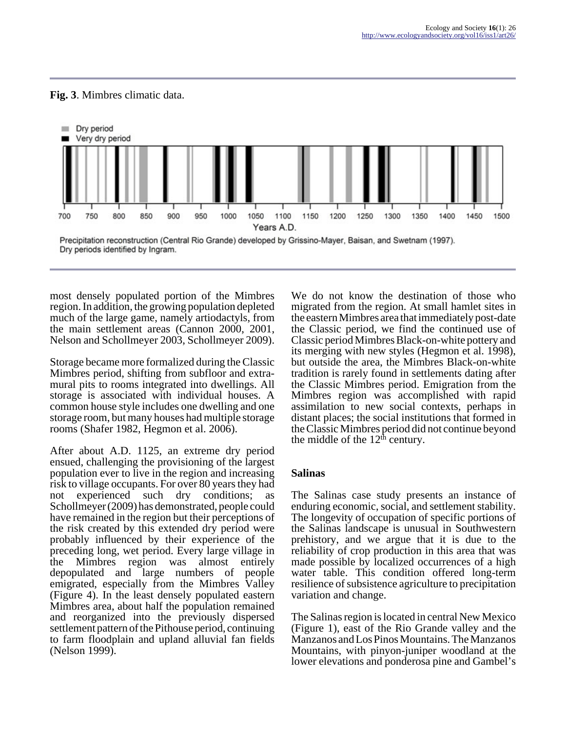## **Fig. 3**. Mimbres climatic data.



most densely populated portion of the Mimbres region. In addition, the growing population depleted much of the large game, namely artiodactyls, from the main settlement areas (Cannon 2000, 2001, Nelson and Schollmeyer 2003, Schollmeyer 2009).

Storage became more formalized during the Classic Mimbres period, shifting from subfloor and extramural pits to rooms integrated into dwellings. All storage is associated with individual houses. A common house style includes one dwelling and one storage room, but many houses had multiple storage rooms (Shafer 1982, Hegmon et al. 2006).

After about A.D. 1125, an extreme dry period ensued, challenging the provisioning of the largest population ever to live in the region and increasing risk to village occupants. For over 80 years they had not experienced such dry conditions; as Schollmeyer (2009) has demonstrated, people could have remained in the region but their perceptions of the risk created by this extended dry period were probably influenced by their experience of the preceding long, wet period. Every large village in the Mimbres region was almost entirely depopulated and large numbers of people emigrated, especially from the Mimbres Valley (Figure 4). In the least densely populated eastern Mimbres area, about half the population remained and reorganized into the previously dispersed settlement pattern of the Pithouse period, continuing to farm floodplain and upland alluvial fan fields (Nelson 1999).

We do not know the destination of those who migrated from the region. At small hamlet sites in the eastern Mimbres area that immediately post-date the Classic period, we find the continued use of Classic period Mimbres Black-on-white pottery and its merging with new styles (Hegmon et al. 1998), but outside the area, the Mimbres Black-on-white tradition is rarely found in settlements dating after the Classic Mimbres period. Emigration from the Mimbres region was accomplished with rapid assimilation to new social contexts, perhaps in distant places; the social institutions that formed in the Classic Mimbres period did not continue beyond the middle of the  $12<sup>th</sup>$  century.

## **Salinas**

The Salinas case study presents an instance of enduring economic, social, and settlement stability. The longevity of occupation of specific portions of the Salinas landscape is unusual in Southwestern prehistory, and we argue that it is due to the reliability of crop production in this area that was made possible by localized occurrences of a high water table. This condition offered long-term resilience of subsistence agriculture to precipitation variation and change.

The Salinas region is located in central New Mexico (Figure 1), east of the Rio Grande valley and the Manzanos and Los Pinos Mountains. The Manzanos Mountains, with pinyon-juniper woodland at the lower elevations and ponderosa pine and Gambel's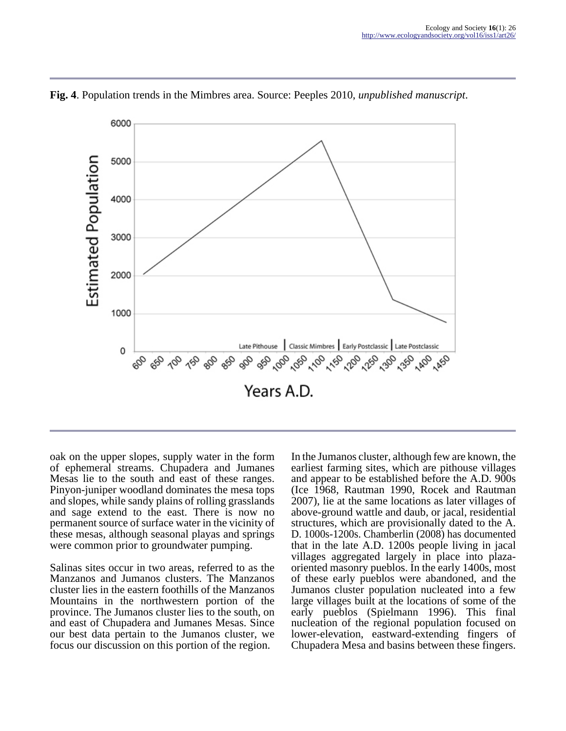

**Fig. 4**. Population trends in the Mimbres area. Source: Peeples 2010, *unpublished manuscript*.

oak on the upper slopes, supply water in the form of ephemeral streams. Chupadera and Jumanes Mesas lie to the south and east of these ranges. Pinyon-juniper woodland dominates the mesa tops and slopes, while sandy plains of rolling grasslands and sage extend to the east. There is now no permanent source of surface water in the vicinity of these mesas, although seasonal playas and springs were common prior to groundwater pumping.

Salinas sites occur in two areas, referred to as the Manzanos and Jumanos clusters. The Manzanos cluster lies in the eastern foothills of the Manzanos Mountains in the northwestern portion of the province. The Jumanos cluster lies to the south, on and east of Chupadera and Jumanes Mesas. Since our best data pertain to the Jumanos cluster, we focus our discussion on this portion of the region.

In the Jumanos cluster, although few are known, the earliest farming sites, which are pithouse villages and appear to be established before the A.D. 900s (Ice 1968, Rautman 1990, Rocek and Rautman 2007), lie at the same locations as later villages of above-ground wattle and daub, or jacal, residential structures, which are provisionally dated to the A. D. 1000s-1200s. Chamberlin (2008) has documented that in the late A.D. 1200s people living in jacal villages aggregated largely in place into plazaoriented masonry pueblos. In the early 1400s, most of these early pueblos were abandoned, and the Jumanos cluster population nucleated into a few large villages built at the locations of some of the early pueblos (Spielmann 1996). This final nucleation of the regional population focused on lower-elevation, eastward-extending fingers of Chupadera Mesa and basins between these fingers.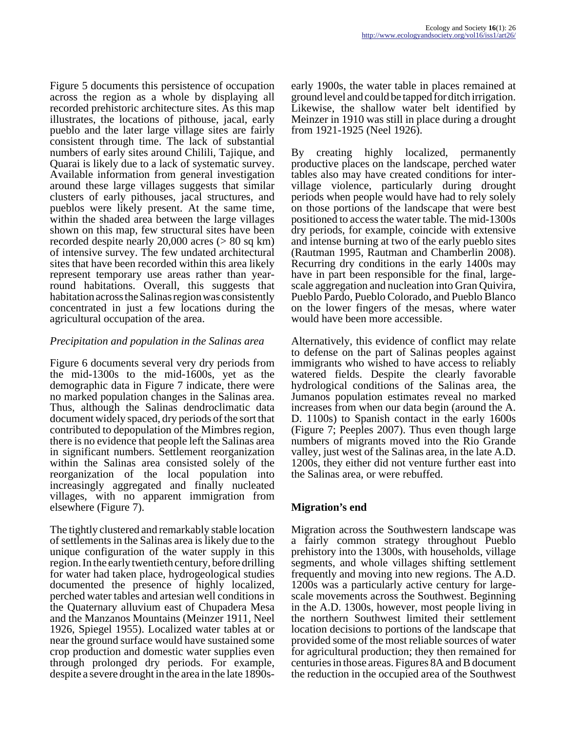Figure 5 documents this persistence of occupation across the region as a whole by displaying all recorded prehistoric architecture sites. As this map illustrates, the locations of pithouse, jacal, early pueblo and the later large village sites are fairly consistent through time. The lack of substantial numbers of early sites around Chilili, Tajique, and Quarai is likely due to a lack of systematic survey. Available information from general investigation around these large villages suggests that similar clusters of early pithouses, jacal structures, and pueblos were likely present. At the same time, within the shaded area between the large villages shown on this map, few structural sites have been recorded despite nearly 20,000 acres (> 80 sq km) of intensive survey. The few undated architectural sites that have been recorded within this area likely represent temporary use areas rather than yearround habitations. Overall, this suggests that habitation across the Salinas region was consistently concentrated in just a few locations during the agricultural occupation of the area.

## *Precipitation and population in the Salinas area*

Figure 6 documents several very dry periods from the mid-1300s to the mid-1600s, yet as the demographic data in Figure 7 indicate, there were no marked population changes in the Salinas area. Thus, although the Salinas dendroclimatic data document widely spaced, dry periods of the sort that contributed to depopulation of the Mimbres region, there is no evidence that people left the Salinas area in significant numbers. Settlement reorganization within the Salinas area consisted solely of the reorganization of the local population into increasingly aggregated and finally nucleated villages, with no apparent immigration from elsewhere (Figure 7).

The tightly clustered and remarkably stable location of settlements in the Salinas area is likely due to the unique configuration of the water supply in this region. In the early twentieth century, before drilling for water had taken place, hydrogeological studies documented the presence of highly localized, perched water tables and artesian well conditions in the Quaternary alluvium east of Chupadera Mesa and the Manzanos Mountains (Meinzer 1911, Neel 1926, Spiegel 1955). Localized water tables at or near the ground surface would have sustained some crop production and domestic water supplies even through prolonged dry periods. For example, despite a severe drought in the area in the late 1890searly 1900s, the water table in places remained at ground level and could be tapped for ditch irrigation. Likewise, the shallow water belt identified by Meinzer in 1910 was still in place during a drought from 1921-1925 (Neel 1926).

By creating highly localized, permanently productive places on the landscape, perched water tables also may have created conditions for intervillage violence, particularly during drought periods when people would have had to rely solely on those portions of the landscape that were best positioned to access the water table. The mid-1300s dry periods, for example, coincide with extensive and intense burning at two of the early pueblo sites (Rautman 1995, Rautman and Chamberlin 2008). Recurring dry conditions in the early 1400s may have in part been responsible for the final, largescale aggregation and nucleation into Gran Quivira, Pueblo Pardo, Pueblo Colorado, and Pueblo Blanco on the lower fingers of the mesas, where water would have been more accessible.

Alternatively, this evidence of conflict may relate to defense on the part of Salinas peoples against immigrants who wished to have access to reliably watered fields. Despite the clearly favorable hydrological conditions of the Salinas area, the Jumanos population estimates reveal no marked increases from when our data begin (around the A. D. 1100s) to Spanish contact in the early 1600s (Figure 7; Peeples 2007). Thus even though large numbers of migrants moved into the Rio Grande valley, just west of the Salinas area, in the late A.D. 1200s, they either did not venture further east into the Salinas area, or were rebuffed.

## **Migration's end**

Migration across the Southwestern landscape was a fairly common strategy throughout Pueblo prehistory into the 1300s, with households, village segments, and whole villages shifting settlement frequently and moving into new regions. The A.D. 1200s was a particularly active century for largescale movements across the Southwest. Beginning in the A.D. 1300s, however, most people living in the northern Southwest limited their settlement location decisions to portions of the landscape that provided some of the most reliable sources of water for agricultural production; they then remained for centuries in those areas. Figures 8A and B document the reduction in the occupied area of the Southwest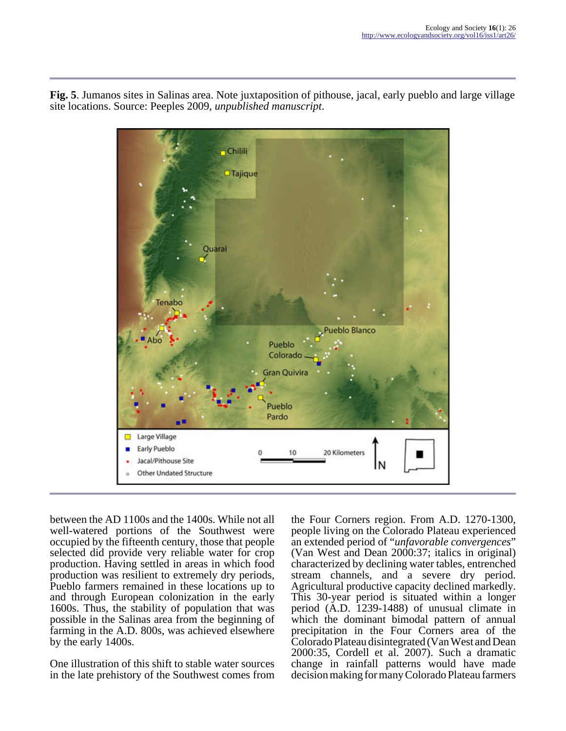![](_page_9_Figure_1.jpeg)

**Fig. 5**. Jumanos sites in Salinas area. Note juxtaposition of pithouse, jacal, early pueblo and large village site locations. Source: Peeples 2009, *unpublished manuscript*.

between the AD 1100s and the 1400s. While not all well-watered portions of the Southwest were occupied by the fifteenth century, those that people selected did provide very reliable water for crop production. Having settled in areas in which food production was resilient to extremely dry periods, Pueblo farmers remained in these locations up to and through European colonization in the early 1600s. Thus, the stability of population that was possible in the Salinas area from the beginning of farming in the A.D. 800s, was achieved elsewhere by the early 1400s.

One illustration of this shift to stable water sources in the late prehistory of the Southwest comes from

the Four Corners region. From A.D. 1270-1300, people living on the Colorado Plateau experienced an extended period of "*unfavorable convergences*" (Van West and Dean 2000:37; italics in original) characterized by declining water tables, entrenched stream channels, and a severe dry period. Agricultural productive capacity declined markedly. This 30-year period is situated within a longer period (A.D. 1239-1488) of unusual climate in which the dominant bimodal pattern of annual precipitation in the Four Corners area of the Colorado Plateau disintegrated (Van West and Dean 2000:35, Cordell et al. 2007). Such a dramatic change in rainfall patterns would have made decision making for many Colorado Plateau farmers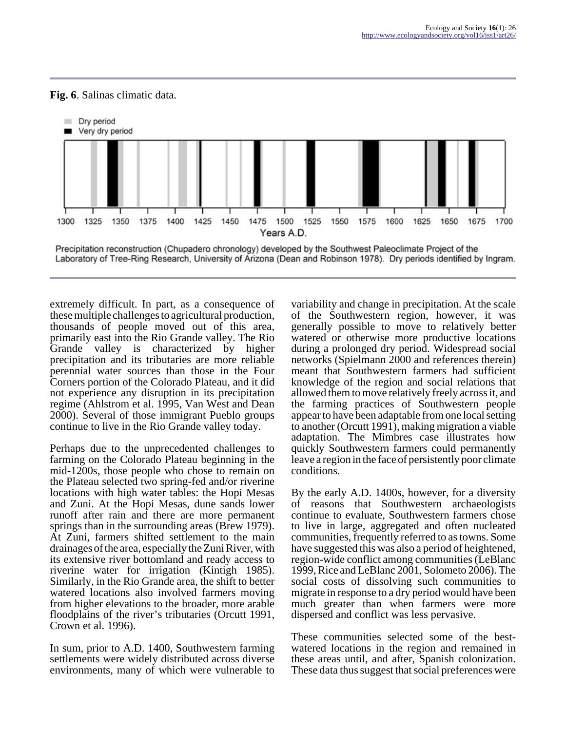#### **Fig. 6**. Salinas climatic data.

![](_page_10_Figure_2.jpeg)

Laboratory of Tree-Ring Research, University of Arizona (Dean and Robinson 1978). Dry periods identified by Ingram.

extremely difficult. In part, as a consequence of these multiple challenges to agricultural production, thousands of people moved out of this area, primarily east into the Rio Grande valley. The Rio Grande valley is characterized by higher precipitation and its tributaries are more reliable perennial water sources than those in the Four Corners portion of the Colorado Plateau, and it did not experience any disruption in its precipitation regime (Ahlstrom et al. 1995, Van West and Dean 2000). Several of those immigrant Pueblo groups continue to live in the Rio Grande valley today.

Perhaps due to the unprecedented challenges to farming on the Colorado Plateau beginning in the mid-1200s, those people who chose to remain on the Plateau selected two spring-fed and/or riverine locations with high water tables: the Hopi Mesas and Zuni. At the Hopi Mesas, dune sands lower runoff after rain and there are more permanent springs than in the surrounding areas (Brew 1979). At Zuni, farmers shifted settlement to the main drainages of the area, especially the Zuni River, with its extensive river bottomland and ready access to riverine water for irrigation (Kintigh 1985). Similarly, in the Rio Grande area, the shift to better watered locations also involved farmers moving from higher elevations to the broader, more arable floodplains of the river's tributaries (Orcutt 1991, Crown et al. 1996).

In sum, prior to A.D. 1400, Southwestern farming settlements were widely distributed across diverse environments, many of which were vulnerable to

variability and change in precipitation. At the scale of the Southwestern region, however, it was generally possible to move to relatively better watered or otherwise more productive locations during a prolonged dry period. Widespread social networks (Spielmann 2000 and references therein) meant that Southwestern farmers had sufficient knowledge of the region and social relations that allowed them to move relatively freely across it, and the farming practices of Southwestern people appear to have been adaptable from one local setting to another (Orcutt 1991), making migration a viable adaptation. The Mimbres case illustrates how quickly Southwestern farmers could permanently leave a region in the face of persistently poor climate conditions.

By the early A.D. 1400s, however, for a diversity of reasons that Southwestern archaeologists continue to evaluate, Southwestern farmers chose to live in large, aggregated and often nucleated communities, frequently referred to as towns. Some have suggested this was also a period of heightened, region-wide conflict among communities (LeBlanc 1999, Rice and LeBlanc 2001, Solometo 2006). The social costs of dissolving such communities to migrate in response to a dry period would have been much greater than when farmers were more dispersed and conflict was less pervasive.

These communities selected some of the bestwatered locations in the region and remained in these areas until, and after, Spanish colonization. These data thus suggest that social preferences were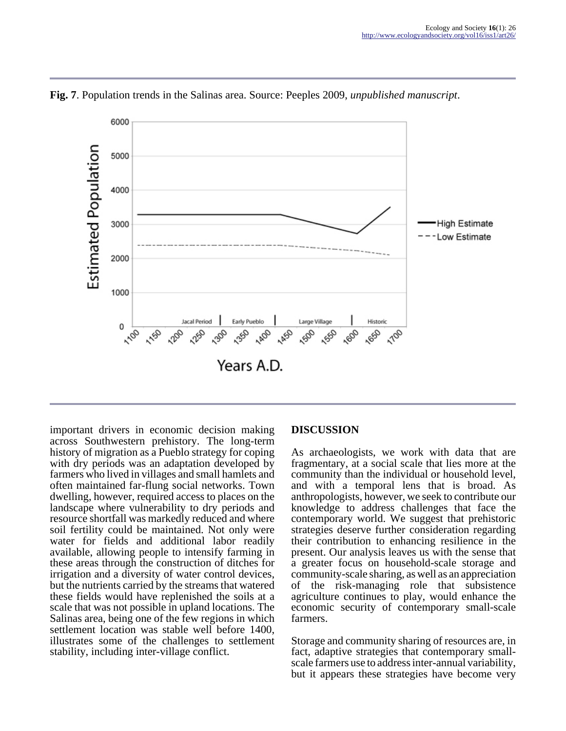![](_page_11_Figure_1.jpeg)

#### **Fig. 7**. Population trends in the Salinas area. Source: Peeples 2009, *unpublished manuscript*.

important drivers in economic decision making across Southwestern prehistory. The long-term history of migration as a Pueblo strategy for coping with dry periods was an adaptation developed by farmers who lived in villages and small hamlets and often maintained far-flung social networks. Town dwelling, however, required access to places on the landscape where vulnerability to dry periods and resource shortfall was markedly reduced and where soil fertility could be maintained. Not only were water for fields and additional labor readily available, allowing people to intensify farming in these areas through the construction of ditches for irrigation and a diversity of water control devices, but the nutrients carried by the streams that watered these fields would have replenished the soils at a scale that was not possible in upland locations. The Salinas area, being one of the few regions in which settlement location was stable well before 1400, illustrates some of the challenges to settlement stability, including inter-village conflict.

#### **DISCUSSION**

As archaeologists, we work with data that are fragmentary, at a social scale that lies more at the community than the individual or household level, and with a temporal lens that is broad. As anthropologists, however, we seek to contribute our knowledge to address challenges that face the contemporary world. We suggest that prehistoric strategies deserve further consideration regarding their contribution to enhancing resilience in the present. Our analysis leaves us with the sense that a greater focus on household-scale storage and community-scale sharing, as well as an appreciation of the risk-managing role that subsistence agriculture continues to play, would enhance the economic security of contemporary small-scale farmers.

Storage and community sharing of resources are, in fact, adaptive strategies that contemporary smallscale farmers use to address inter-annual variability, but it appears these strategies have become very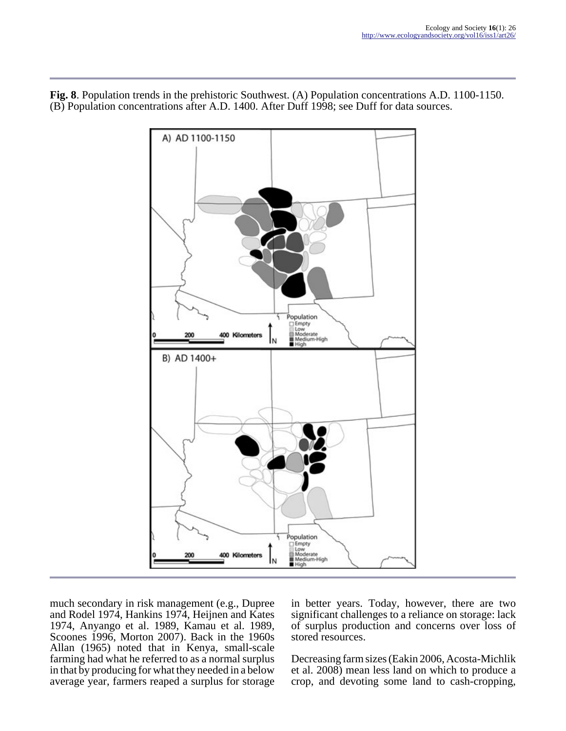![](_page_12_Figure_1.jpeg)

**Fig. 8**. Population trends in the prehistoric Southwest. (A) Population concentrations A.D. 1100-1150. (B) Population concentrations after A.D. 1400. After Duff 1998; see Duff for data sources.

much secondary in risk management (e.g., Dupree and Rodel 1974, Hankins 1974, Heijnen and Kates 1974, Anyango et al. 1989, Kamau et al. 1989, Scoones 1996, Morton 2007). Back in the 1960s Allan (1965) noted that in Kenya, small-scale farming had what he referred to as a normal surplus in that by producing for what they needed in a below average year, farmers reaped a surplus for storage in better years. Today, however, there are two significant challenges to a reliance on storage: lack of surplus production and concerns over loss of stored resources.

Decreasing farm sizes (Eakin 2006, Acosta-Michlik et al. 2008) mean less land on which to produce a crop, and devoting some land to cash-cropping,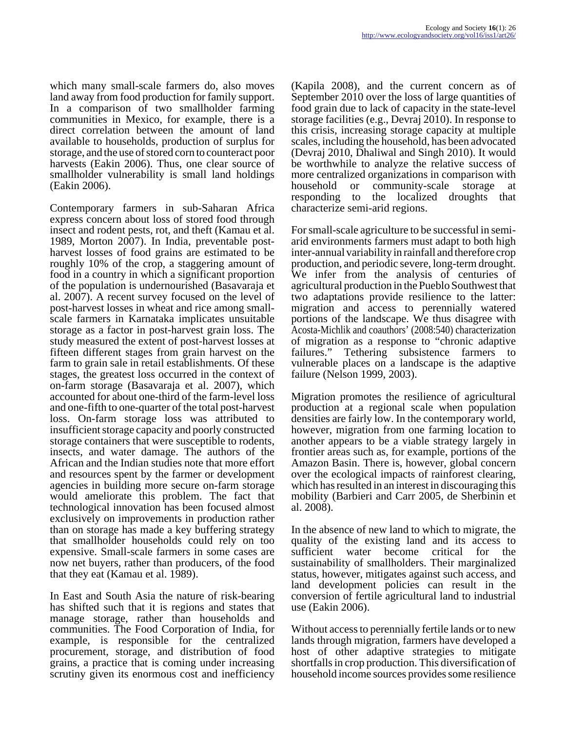which many small-scale farmers do, also moves land away from food production for family support. In a comparison of two smallholder farming communities in Mexico, for example, there is a direct correlation between the amount of land available to households, production of surplus for storage, and the use of stored corn to counteract poor harvests (Eakin 2006). Thus, one clear source of smallholder vulnerability is small land holdings (Eakin 2006).

Contemporary farmers in sub-Saharan Africa express concern about loss of stored food through insect and rodent pests, rot, and theft (Kamau et al. 1989, Morton 2007). In India, preventable postharvest losses of food grains are estimated to be roughly 10% of the crop, a staggering amount of food in a country in which a significant proportion of the population is undernourished (Basavaraja et al. 2007). A recent survey focused on the level of post-harvest losses in wheat and rice among smallscale farmers in Karnataka implicates unsuitable storage as a factor in post-harvest grain loss. The study measured the extent of post-harvest losses at fifteen different stages from grain harvest on the farm to grain sale in retail establishments. Of these stages, the greatest loss occurred in the context of on-farm storage (Basavaraja et al. 2007), which accounted for about one-third of the farm-level loss and one-fifth to one-quarter of the total post-harvest loss. On-farm storage loss was attributed to insufficient storage capacity and poorly constructed storage containers that were susceptible to rodents, insects, and water damage. The authors of the African and the Indian studies note that more effort and resources spent by the farmer or development agencies in building more secure on-farm storage would ameliorate this problem. The fact that technological innovation has been focused almost exclusively on improvements in production rather than on storage has made a key buffering strategy that smallholder households could rely on too expensive. Small-scale farmers in some cases are now net buyers, rather than producers, of the food that they eat (Kamau et al. 1989).

In East and South Asia the nature of risk-bearing has shifted such that it is regions and states that manage storage, rather than households and communities. The Food Corporation of India, for example, is responsible for the centralized procurement, storage, and distribution of food grains, a practice that is coming under increasing scrutiny given its enormous cost and inefficiency

(Kapila 2008), and the current concern as of September 2010 over the loss of large quantities of food grain due to lack of capacity in the state-level storage facilities (e.g., Devraj 2010). In response to this crisis, increasing storage capacity at multiple scales, including the household, has been advocated (Devraj 2010, Dhaliwal and Singh 2010). It would be worthwhile to analyze the relative success of more centralized organizations in comparison with household or community-scale storage at responding to the localized droughts that characterize semi-arid regions.

For small-scale agriculture to be successful in semiarid environments farmers must adapt to both high inter-annual variability in rainfall and therefore crop production, and periodic severe, long-term drought. We infer from the analysis of centuries of agricultural production in the Pueblo Southwest that two adaptations provide resilience to the latter: migration and access to perennially watered portions of the landscape. We thus disagree with Acosta-Michlik and coauthors' (2008:540) characterization of migration as a response to "chronic adaptive failures." Tethering subsistence farmers to Tethering subsistence farmers to vulnerable places on a landscape is the adaptive failure (Nelson 1999, 2003).

Migration promotes the resilience of agricultural production at a regional scale when population densities are fairly low. In the contemporary world, however, migration from one farming location to another appears to be a viable strategy largely in frontier areas such as, for example, portions of the Amazon Basin. There is, however, global concern over the ecological impacts of rainforest clearing, which has resulted in an interest in discouraging this mobility (Barbieri and Carr 2005, de Sherbinin et al. 2008).

In the absence of new land to which to migrate, the quality of the existing land and its access to sufficient water become critical for the sustainability of smallholders. Their marginalized status, however, mitigates against such access, and land development policies can result in the conversion of fertile agricultural land to industrial use (Eakin 2006).

Without access to perennially fertile lands or to new lands through migration, farmers have developed a host of other adaptive strategies to mitigate shortfalls in crop production. This diversification of household income sources provides some resilience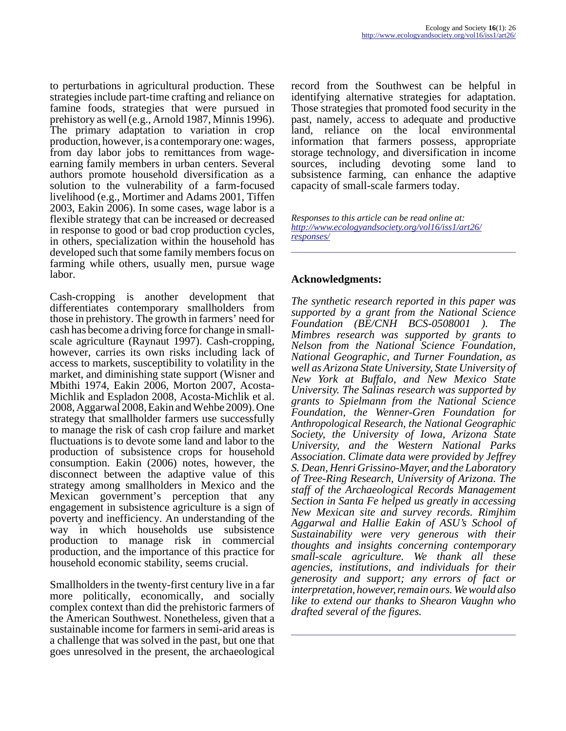to perturbations in agricultural production. These strategies include part-time crafting and reliance on famine foods, strategies that were pursued in prehistory as well (e.g., Arnold 1987, Minnis 1996). The primary adaptation to variation in crop production, however, is a contemporary one: wages, from day labor jobs to remittances from wageearning family members in urban centers. Several authors promote household diversification as a solution to the vulnerability of a farm-focused livelihood (e.g., Mortimer and Adams 2001, Tiffen 2003, Eakin 2006). In some cases, wage labor is a flexible strategy that can be increased or decreased in response to good or bad crop production cycles, in others, specialization within the household has developed such that some family members focus on farming while others, usually men, pursue wage labor.

Cash-cropping is another development that differentiates contemporary smallholders from those in prehistory. The growth in farmers' need for cash has become a driving force for change in smallscale agriculture (Raynaut 1997). Cash-cropping, however, carries its own risks including lack of access to markets, susceptibility to volatility in the market, and diminishing state support (Wisner and Mbithi 1974, Eakin 2006, Morton 2007, Acosta-Michlik and Espladon 2008, Acosta-Michlik et al. 2008, Aggarwal 2008, Eakin and Wehbe 2009). One strategy that smallholder farmers use successfully to manage the risk of cash crop failure and market fluctuations is to devote some land and labor to the production of subsistence crops for household consumption. Eakin (2006) notes, however, the disconnect between the adaptive value of this strategy among smallholders in Mexico and the Mexican government's perception that any engagement in subsistence agriculture is a sign of poverty and inefficiency. An understanding of the way in which households use subsistence production to manage risk in commercial production, and the importance of this practice for household economic stability, seems crucial.

Smallholders in the twenty-first century live in a far more politically, economically, and socially complex context than did the prehistoric farmers of the American Southwest. Nonetheless, given that a sustainable income for farmers in semi-arid areas is a challenge that was solved in the past, but one that goes unresolved in the present, the archaeological

record from the Southwest can be helpful in identifying alternative strategies for adaptation. Those strategies that promoted food security in the past, namely, access to adequate and productive land, reliance on the local environmental information that farmers possess, appropriate storage technology, and diversification in income sources, including devoting some land to subsistence farming, can enhance the adaptive capacity of small-scale farmers today.

*Responses to this article can be read online at: [http://www](http://www.ecologyandsociety.org/vol16/iss1/art26/responses/).ecologyandsociety.org/vol16/iss1/art26/ responses/*

#### **Acknowledgments:**

*The synthetic research reported in this paper was supported by a grant from the National Science Foundation (BE/CNH BCS-0508001 ). The Mimbres research was supported by grants to Nelson from the National Science Foundation, National Geographic, and Turner Foundation, as well as Arizona State University, State University of New York at Buffalo, and New Mexico State University. The Salinas research was supported by grants to Spielmann from the National Science Foundation, the Wenner-Gren Foundation for Anthropological Research, the National Geographic Society, the University of Iowa, Arizona State University, and the Western National Parks Association. Climate data were provided by Jeffrey S. Dean, Henri Grissino-Mayer, and the Laboratory of Tree-Ring Research, University of Arizona. The staff of the Archaeological Records Management Section in Santa Fe helped us greatly in accessing New Mexican site and survey records. Rimjhim Aggarwal and Hallie Eakin of ASU's School of Sustainability were very generous with their thoughts and insights concerning contemporary small-scale agriculture. We thank all these agencies, institutions, and individuals for their generosity and support; any errors of fact or interpretation, however, remain ours. We would also like to extend our thanks to Shearon Vaughn who drafted several of the figures.*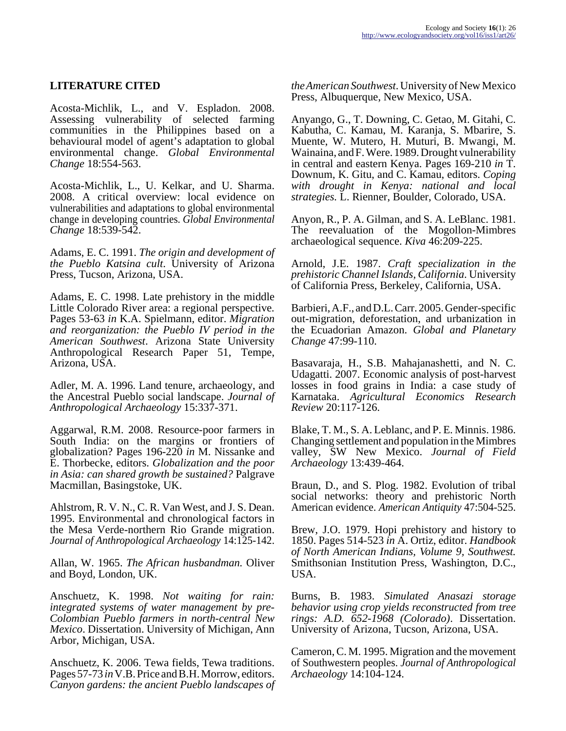## **LITERATURE CITED**

Acosta-Michlik, L., and V. Espladon. 2008. Assessing vulnerability of selected farming communities in the Philippines based on a behavioural model of agent's adaptation to global environmental change. *Global Environmental Change* 18:554-563.

Acosta-Michlik, L., U. Kelkar, and U. Sharma. 2008. A critical overview: local evidence on vulnerabilities and adaptations to global environmental change in developing countries. *Global Environmental Change* 18:539-542.

Adams, E. C. 1991. *The origin and development of the Pueblo Katsina cult*. University of Arizona Press, Tucson, Arizona, USA.

Adams, E. C. 1998. Late prehistory in the middle Little Colorado River area: a regional perspective*.* Pages 53-63 *in* K.A. Spielmann, editor. *Migration and reorganization: the Pueblo IV period in the American Southwest*. Arizona State University Anthropological Research Paper 51, Tempe, Arizona, USA.

Adler, M. A. 1996. Land tenure, archaeology, and the Ancestral Pueblo social landscape. *Journal of Anthropological Archaeology* 15:337-371.

Aggarwal, R.M. 2008. Resource-poor farmers in South India: on the margins or frontiers of globalization? Pages 196-220 *in* M. Nissanke and E. Thorbecke, editors. *Globalization and the poor in Asia: can shared growth be sustained?* Palgrave Macmillan, Basingstoke, UK.

Ahlstrom, R. V. N., C. R. Van West, and J. S. Dean. 1995. Environmental and chronological factors in the Mesa Verde-northern Rio Grande migration. *Journal of Anthropological Archaeology* 14:125-142.

Allan, W. 1965. *The African husbandman.* Oliver and Boyd, London, UK.

Anschuetz, K. 1998. *Not waiting for rain: integrated systems of water management by pre-Colombian Pueblo farmers in north-central New Mexico*. Dissertation. University of Michigan, Ann Arbor, Michigan, USA.

Anschuetz, K. 2006. Tewa fields, Tewa traditions. Pages 57-73 *in* V.B. Price and B.H. Morrow, editors. *Canyon gardens: the ancient Pueblo landscapes of* *the American Southwest*. University of New Mexico Press, Albuquerque, New Mexico, USA.

Anyango, G., T. Downing, C. Getao, M. Gitahi, C. Kabutha, C. Kamau, M. Karanja, S. Mbarire, S. Muente, W. Mutero, H. Muturi, B. Mwangi, M. Wainaina, and F. Were. 1989. Drought vulnerability in central and eastern Kenya. Pages 169-210 *in* T. Downum, K. Gitu, and C. Kamau, editors. *Coping with drought in Kenya: national and local strategies.* L. Rienner, Boulder, Colorado, USA.

Anyon, R., P. A. Gilman, and S. A. LeBlanc. 1981. The reevaluation of the Mogollon-Mimbres archaeological sequence. *Kiva* 46:209-225.

Arnold, J.E. 1987. *Craft specialization in the prehistoric Channel Islands, California*. University of California Press, Berkeley, California, USA.

Barbieri, A.F., and D.L. Carr. 2005. Gender-specific out-migration, deforestation, and urbanization in the Ecuadorian Amazon. *Global and Planetary Change* 47:99-110.

Basavaraja, H., S.B. Mahajanashetti, and N. C. Udagatti. 2007. Economic analysis of post-harvest losses in food grains in India: a case study of Karnataka. *Agricultural Economics Research Review* 20:117-126.

Blake, T. M., S. A. Leblanc, and P. E. Minnis. 1986. Changing settlement and population in the Mimbres valley, SW New Mexico. *Journal of Field Archaeology* 13:439-464.

Braun, D., and S. Plog. 1982. Evolution of tribal social networks: theory and prehistoric North American evidence. *American Antiquity* 47:504-525.

Brew, J.O. 1979. Hopi prehistory and history to 1850. Pages 514-523 *in* A. Ortiz, editor. *Handbook of North American Indians, Volume 9, Southwest.* Smithsonian Institution Press, Washington, D.C., USA.

Burns, B. 1983. *Simulated Anasazi storage behavior using crop yields reconstructed from tree rings: A.D. 652-1968 (Colorado)*. Dissertation. University of Arizona, Tucson, Arizona, USA.

Cameron, C. M. 1995. Migration and the movement of Southwestern peoples. *Journal of Anthropological Archaeology* 14:104-124.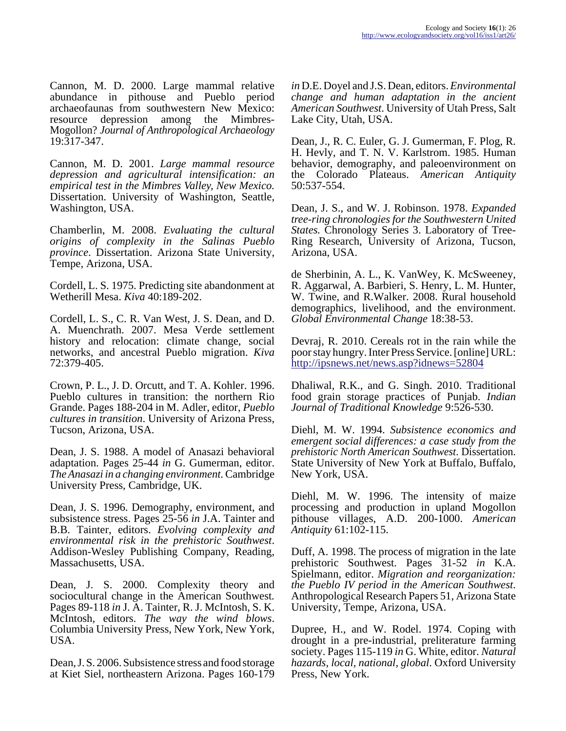Cannon, M. D. 2000. Large mammal relative abundance in pithouse and Pueblo period archaeofaunas from southwestern New Mexico:<br>resource depression among the Mimbresresource depression among the Mogollon? *Journal of Anthropological Archaeology* 19:317-347.

Cannon, M. D. 2001. *Large mammal resource depression and agricultural intensification: an empirical test in the Mimbres Valley, New Mexico.* Dissertation. University of Washington, Seattle, Washington, USA.

Chamberlin, M. 2008. *Evaluating the cultural origins of complexity in the Salinas Pueblo province*. Dissertation. Arizona State University, Tempe, Arizona, USA.

Cordell, L. S. 1975. Predicting site abandonment at Wetherill Mesa. *Kiva* 40:189-202.

Cordell, L. S., C. R. Van West, J. S. Dean, and D. A. Muenchrath. 2007. Mesa Verde settlement history and relocation: climate change, social networks, and ancestral Pueblo migration. *Kiva* 72:379-405.

Crown, P. L., J. D. Orcutt, and T. A. Kohler. 1996. Pueblo cultures in transition: the northern Rio Grande. Pages 188-204 in M. Adler, editor, *Pueblo cultures in transition*. University of Arizona Press, Tucson, Arizona, USA.

Dean, J. S. 1988. A model of Anasazi behavioral adaptation. Pages 25-44 *in* G. Gumerman, editor. *The Anasazi in a changing environment.* Cambridge University Press, Cambridge, UK.

Dean, J. S. 1996. Demography, environment, and subsistence stress. Pages 25-56 *in* J.A. Tainter and B.B. Tainter, editors. *Evolving complexity and environmental risk in the prehistoric Southwest*. Addison-Wesley Publishing Company, Reading, Massachusetts, USA.

Dean, J. S. 2000. Complexity theory and sociocultural change in the American Southwest*.* Pages 89-118 *in* J. A. Tainter, R. J. McIntosh, S. K. McIntosh, editors. *The way the wind blows*. Columbia University Press, New York, New York, USA.

Dean, J. S. 2006. Subsistence stress and food storage at Kiet Siel, northeastern Arizona. Pages 160-179 *in* D.E. Doyel and J.S. Dean, editors. *Environmental change and human adaptation in the ancient American Southwest*. University of Utah Press, Salt Lake City, Utah, USA.

Dean, J., R. C. Euler, G. J. Gumerman, F. Plog, R. H. Hevly, and T. N. V. Karlstrom. 1985. Human behavior, demography, and paleoenvironment on the Colorado Plateaus. *American Antiquity* 50:537-554.

Dean, J. S., and W. J. Robinson. 1978. *Expanded tree-ring chronologies for the Southwestern United States.* Chronology Series 3. Laboratory of Tree-Ring Research, University of Arizona, Tucson, Arizona, USA.

de Sherbinin, A. L., K. VanWey, K. McSweeney, R. Aggarwal, A. Barbieri, S. Henry, L. M. Hunter, W. Twine, and R.Walker. 2008. Rural household demographics, livelihood, and the environment. *Global Environmental Change* 18:38-53.

Devraj, R. 2010. Cereals rot in the rain while the poor stay hungry. Inter Press Service. [online] URL: <http://ipsnews.net/news.asp?idnews=52804>

Dhaliwal, R.K., and G. Singh. 2010. Traditional food grain storage practices of Punjab. *Indian Journal of Traditional Knowledge* 9:526-530.

Diehl, M. W. 1994. *Subsistence economics and emergent social differences: a case study from the prehistoric North American Southwest*. Dissertation. State University of New York at Buffalo, Buffalo, New York, USA.

Diehl, M. W. 1996. The intensity of maize processing and production in upland Mogollon pithouse villages, A.D. 200-1000. *American Antiquity* 61:102-115.

Duff, A. 1998. The process of migration in the late prehistoric Southwest. Pages 31-52 *in* K.A. Spielmann, editor. *Migration and reorganization: the Pueblo IV period in the American Southwest*. Anthropological Research Papers 51, Arizona State University, Tempe, Arizona, USA.

Dupree, H., and W. Rodel. 1974. Coping with drought in a pre-industrial, preliterature farming society. Pages 115-119 *in* G. White, editor. *Natural hazards, local, national, global*. Oxford University Press, New York.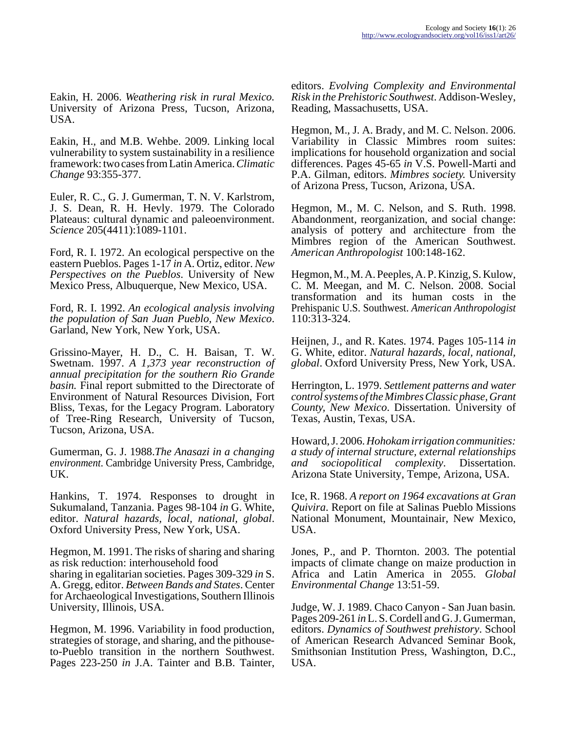Eakin, H. 2006. *Weathering risk in rural Mexico.* University of Arizona Press, Tucson, Arizona, USA.

Eakin, H., and M.B. Wehbe. 2009. Linking local vulnerability to system sustainability in a resilience framework: two cases from Latin America. *Climatic Change* 93:355-377.

Euler, R. C., G. J. Gumerman, T. N. V. Karlstrom, J. S. Dean, R. H. Hevly. 1979. The Colorado Plateaus: cultural dynamic and paleoenvironment. *Science* 205(4411):1089-1101.

Ford, R. I. 1972. An ecological perspective on the eastern Pueblos. Pages 1-17 *in* A. Ortiz, editor. *New Perspectives on the Pueblos*. University of New Mexico Press, Albuquerque, New Mexico, USA.

Ford, R. I. 1992. *An ecological analysis involving the population of San Juan Pueblo, New Mexico*. Garland, New York, New York, USA.

Grissino-Mayer, H. D., C. H. Baisan, T. W. Swetnam. 1997. *A 1,373 year reconstruction of annual precipitation for the southern Rio Grande basin.* Final report submitted to the Directorate of Environment of Natural Resources Division, Fort Bliss, Texas, for the Legacy Program. Laboratory of Tree-Ring Research, University of Tucson, Tucson, Arizona, USA.

Gumerman, G. J. 1988.*The Anasazi in a changing environment*. Cambridge University Press, Cambridge, UK.

Hankins, T. 1974. Responses to drought in Sukumaland, Tanzania. Pages 98-104 *in* G. White, editor. *Natural hazards, local, national, global*. Oxford University Press, New York, USA.

Hegmon, M. 1991. The risks of sharing and sharing as risk reduction: interhousehold food

sharing in egalitarian societies. Pages 309-329 *in* S. A. Gregg, editor. *Between Bands and States*. Center for Archaeological Investigations, Southern Illinois University, Illinois, USA.

Hegmon, M. 1996. Variability in food production, strategies of storage, and sharing, and the pithouseto-Pueblo transition in the northern Southwest. Pages 223-250 *in* J.A. Tainter and B.B. Tainter, editors. *Evolving Complexity and Environmental Risk in the Prehistoric Southwest*. Addison-Wesley, Reading, Massachusetts, USA.

Hegmon, M., J. A. Brady, and M. C. Nelson. 2006. Variability in Classic Mimbres room suites: implications for household organization and social differences. Pages 45-65 *in* V.S. Powell-Marti and P.A. Gilman, editors. *Mimbres society.* University of Arizona Press, Tucson, Arizona, USA.

Hegmon, M., M. C. Nelson, and S. Ruth. 1998. Abandonment, reorganization, and social change: analysis of pottery and architecture from the Mimbres region of the American Southwest. *American Anthropologist* 100:148-162.

Hegmon, M., M. A. Peeples, A. P. Kinzig, S. Kulow, C. M. Meegan, and M. C. Nelson. 2008. Social transformation and its human costs in the Prehispanic U.S. Southwest. *American Anthropologist* 110:313-324.

Heijnen, J., and R. Kates. 1974. Pages 105-114 *in* G. White, editor. *Natural hazards, local, national, global*. Oxford University Press, New York, USA.

Herrington, L. 1979. *Settlement patterns and water control systems of the Mimbres Classic phase, Grant County, New Mexico*. Dissertation. University of Texas, Austin, Texas, USA.

Howard, J. 2006. *Hohokam irrigation communities: a study of internal structure, external relationships and sociopolitical complexity*. Dissertation. Arizona State University, Tempe, Arizona, USA.

Ice, R. 1968. *A report on 1964 excavations at Gran Quivira*. Report on file at Salinas Pueblo Missions National Monument, Mountainair, New Mexico, USA.

Jones, P., and P. Thornton. 2003. The potential impacts of climate change on maize production in Africa and Latin America in 2055. *Global Environmental Change* 13:51-59.

Judge, W. J. 1989. Chaco Canyon - San Juan basin*.* Pages 209-261 *in* L. S. Cordell and G. J. Gumerman, editors. *Dynamics of Southwest prehistory*. School of American Research Advanced Seminar Book, Smithsonian Institution Press, Washington, D.C., USA.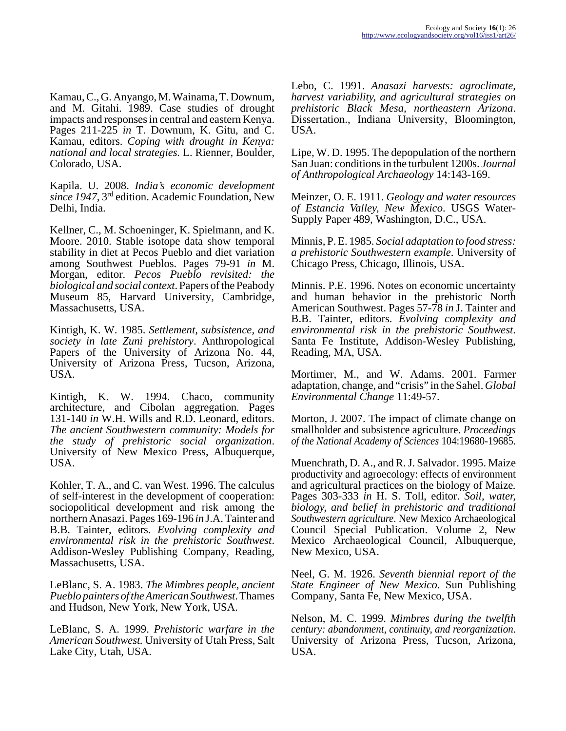Kamau, C., G. Anyango, M. Wainama, T. Downum, and M. Gitahi. 1989. Case studies of drought impacts and responses in central and eastern Kenya. Pages 211-225 *in* T. Downum, K. Gitu, and C. Kamau, editors. *Coping with drought in Kenya: national and local strategies.* L. Rienner, Boulder, Colorado, USA.

Kapila. U. 2008. *India's economic development since 1947*, 3rd edition. Academic Foundation, New Delhi, India.

Kellner, C., M. Schoeninger, K. Spielmann, and K. Moore. 2010. Stable isotope data show temporal stability in diet at Pecos Pueblo and diet variation among Southwest Pueblos. Pages 79-91 *in* M. Morgan, editor. *Pecos Pueblo revisited: the biological and social context*. Papers of the Peabody Museum 85, Harvard University, Cambridge, Massachusetts, USA.

Kintigh, K. W. 1985. *Settlement, subsistence, and society in late Zuni prehistory*. Anthropological Papers of the University of Arizona No. 44, University of Arizona Press, Tucson, Arizona, USA.

Kintigh, K. W. 1994. Chaco, community architecture, and Cibolan aggregation*.* Pages 131-140 *in* W.H. Wills and R.D. Leonard, editors. *The ancient Southwestern community: Models for the study of prehistoric social organization*. University of New Mexico Press, Albuquerque, USA.

Kohler, T. A., and C. van West. 1996. The calculus of self-interest in the development of cooperation: sociopolitical development and risk among the northern Anasazi. Pages 169-196 *in* J.A. Tainter and B.B. Tainter, editors. *Evolving complexity and environmental risk in the prehistoric Southwest*. Addison-Wesley Publishing Company, Reading, Massachusetts, USA.

LeBlanc, S. A. 1983. *The Mimbres people, ancient Pueblo painters of the American Southwest*. Thames and Hudson, New York, New York, USA.

LeBlanc, S. A. 1999. *Prehistoric warfare in the American Southwest.* University of Utah Press, Salt Lake City, Utah, USA.

Lebo, C. 1991. *Anasazi harvests: agroclimate, harvest variability, and agricultural strategies on prehistoric Black Mesa, northeastern Arizona*. Dissertation., Indiana University, Bloomington, USA.

Lipe, W. D. 1995. The depopulation of the northern San Juan: conditions in the turbulent 1200s. *Journal of Anthropological Archaeology* 14:143-169.

Meinzer, O. E. 1911. *Geology and water resources of Estancia Valley, New Mexico*. USGS Water-Supply Paper 489, Washington, D.C., USA.

Minnis, P. E. 1985. *Social adaptation to food stress: a prehistoric Southwestern example*. University of Chicago Press, Chicago, Illinois, USA.

Minnis. P.E. 1996. Notes on economic uncertainty and human behavior in the prehistoric North American Southwest. Pages 57-78 *in* J. Tainter and B.B. Tainter, editors. *Evolving complexity and environmental risk in the prehistoric Southwest*. Santa Fe Institute, Addison-Wesley Publishing, Reading, MA, USA.

Mortimer, M., and W. Adams. 2001. Farmer adaptation, change, and "crisis" in the Sahel. *Global Environmental Change* 11:49-57.

Morton, J. 2007. The impact of climate change on smallholder and subsistence agriculture. *Proceedings of the National Academy of Sciences* 104:19680-19685.

Muenchrath, D. A., and R. J. Salvador. 1995. Maize productivity and agroecology: effects of environment and agricultural practices on the biology of Maize*.* Pages 303-333 *in* H. S. Toll, editor. *Soil, water, biology, and belief in prehistoric and traditional Southwestern agriculture*. New Mexico Archaeological Council Special Publication. Volume 2, New Mexico Archaeological Council, Albuquerque, New Mexico, USA.

Neel, G. M. 1926. *Seventh biennial report of the State Engineer of New Mexico*. Sun Publishing Company, Santa Fe, New Mexico, USA.

Nelson, M. C. 1999. *Mimbres during the twelfth century: abandonment, continuity, and reorganization*. University of Arizona Press, Tucson, Arizona, USA.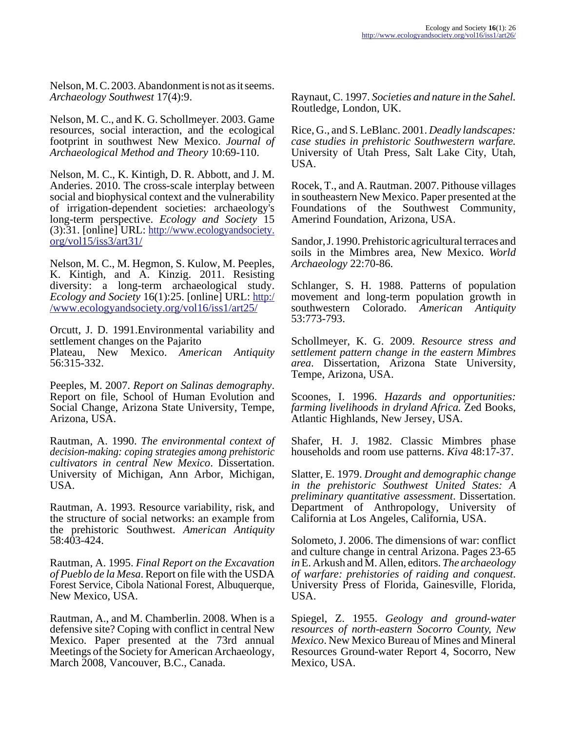Nelson, M. C. 2003. Abandonment is not as it seems. *Archaeology Southwest* 17(4):9.

Nelson, M. C., and K. G. Schollmeyer. 2003. Game resources, social interaction, and the ecological footprint in southwest New Mexico. *Journal of Archaeological Method and Theory* 10:69-110.

Nelson, M. C., K. Kintigh, D. R. Abbott, and J. M. Anderies. 2010. The cross-scale interplay between social and biophysical context and the vulnerability of irrigation-dependent societies: archaeology's long-term perspective. *Ecology and Society* 15 (3):31. [online] URL: [http://www.ecologyandsociety.](http://www.ecologyandsociety.org/vol15/iss3/art31/) [org/vol15/iss3/art31/](http://www.ecologyandsociety.org/vol15/iss3/art31/)

Nelson, M. C., M. Hegmon, S. Kulow, M. Peeples, K. Kintigh, and A. Kinzig. 2011. Resisting diversity: a long-term archaeological study. *Ecology and Society* 16(1):25. [online] URL: [http:/](http://www.ecologyandsociety.org/vol16/iss1/art25/) [/www.ecologyandsociety.org/vol16/iss1/art25/](http://www.ecologyandsociety.org/vol16/iss1/art25/)

Orcutt, J. D. 1991.Environmental variability and settlement changes on the Pajarito

Plateau, New Mexico. *American Antiquity* 56:315-332.

Peeples, M. 2007. *Report on Salinas demography*. Report on file, School of Human Evolution and Social Change, Arizona State University, Tempe, Arizona, USA.

Rautman, A. 1990. *The environmental context of decision-making: coping strategies among prehistoric cultivators in central New Mexico*. Dissertation. University of Michigan, Ann Arbor, Michigan, USA.

Rautman, A. 1993. Resource variability, risk, and the structure of social networks: an example from the prehistoric Southwest. *American Antiquity* 58:403-424.

Rautman, A. 1995. *Final Report on the Excavation of Pueblo de la Mesa*. Report on file with the USDA Forest Service, Cibola National Forest, Albuquerque, New Mexico, USA.

Rautman, A., and M. Chamberlin. 2008. When is a defensive site? Coping with conflict in central New Mexico. Paper presented at the 73rd annual Meetings of the Society for American Archaeology, March 2008, Vancouver, B.C., Canada.

Raynaut, C. 1997. *Societies and nature in the Sahel.* Routledge, London, UK.

Rice, G., and S. LeBlanc. 2001. *Deadly landscapes: case studies in prehistoric Southwestern warfare.* University of Utah Press, Salt Lake City, Utah, USA.

Rocek, T., and A. Rautman. 2007. Pithouse villages in southeastern New Mexico. Paper presented at the Foundations of the Southwest Community, Amerind Foundation, Arizona, USA.

Sandor, J. 1990. Prehistoric agricultural terraces and soils in the Mimbres area, New Mexico. *World Archaeology* 22:70-86.

Schlanger, S. H. 1988. Patterns of population movement and long-term population growth in southwestern Colorado. *American Antiquity* 53:773-793.

Schollmeyer, K. G. 2009. *Resource stress and settlement pattern change in the eastern Mimbres area*. Dissertation, Arizona State University, Tempe, Arizona, USA.

Scoones, I. 1996. *Hazards and opportunities: farming livelihoods in dryland Africa.* Zed Books, Atlantic Highlands, New Jersey, USA.

Shafer, H. J. 1982. Classic Mimbres phase households and room use patterns. *Kiva* 48:17-37.

Slatter, E. 1979. *Drought and demographic change in the prehistoric Southwest United States: A preliminary quantitative assessment*. Dissertation. Department of Anthropology, University of California at Los Angeles, California, USA.

Solometo, J. 2006. The dimensions of war: conflict and culture change in central Arizona. Pages 23-65 *in* E. Arkush and M. Allen, editors. *The archaeology of warfare: prehistories of raiding and conquest*. University Press of Florida, Gainesville, Florida, USA.

Spiegel, Z. 1955. *Geology and ground-water resources of north-eastern Socorro County, New Mexico*. New Mexico Bureau of Mines and Mineral Resources Ground-water Report 4, Socorro, New Mexico, USA.